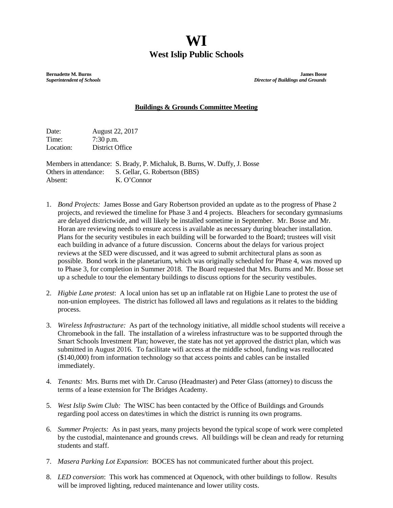## **WI West Islip Public Schools**

**Bernadette M. Burns James Bosse**<br> **Burns Bosse Superintendent of Schools**<br> **Burns Bosse Superintendent of Schools** *Superintendent of Schools**Director of Buildings and Grounds*

## **Buildings & Grounds Committee Meeting**

Date: August 22, 2017 Time: 7:30 p.m. Location: District Office

Members in attendance: S. Brady, P. Michaluk, B. Burns, W. Duffy, J. Bosse Others in attendance: S. Gellar, G. Robertson (BBS) Absent: K. O'Connor

- 1. *Bond Projects:* James Bosse and Gary Robertson provided an update as to the progress of Phase 2 projects, and reviewed the timeline for Phase 3 and 4 projects. Bleachers for secondary gymnasiums are delayed districtwide, and will likely be installed sometime in September. Mr. Bosse and Mr. Horan are reviewing needs to ensure access is available as necessary during bleacher installation. Plans for the security vestibules in each building will be forwarded to the Board; trustees will visit each building in advance of a future discussion. Concerns about the delays for various project reviews at the SED were discussed, and it was agreed to submit architectural plans as soon as possible. Bond work in the planetarium, which was originally scheduled for Phase 4, was moved up to Phase 3, for completion in Summer 2018. The Board requested that Mrs. Burns and Mr. Bosse set up a schedule to tour the elementary buildings to discuss options for the security vestibules.
- 2. *Higbie Lane protest*: A local union has set up an inflatable rat on Higbie Lane to protest the use of non-union employees. The district has followed all laws and regulations as it relates to the bidding process.
- 3. *Wireless Infrastructure:* As part of the technology initiative, all middle school students will receive a Chromebook in the fall. The installation of a wireless infrastructure was to be supported through the Smart Schools Investment Plan; however, the state has not yet approved the district plan, which was submitted in August 2016. To facilitate wifi access at the middle school, funding was reallocated (\$140,000) from information technology so that access points and cables can be installed immediately.
- 4. *Tenants:* Mrs. Burns met with Dr. Caruso (Headmaster) and Peter Glass (attorney) to discuss the terms of a lease extension for The Bridges Academy.
- 5. *West Islip Swim Club:* The WISC has been contacted by the Office of Buildings and Grounds regarding pool access on dates/times in which the district is running its own programs.
- 6. *Summer Projects:* As in past years, many projects beyond the typical scope of work were completed by the custodial, maintenance and grounds crews. All buildings will be clean and ready for returning students and staff.
- 7. *Masera Parking Lot Expansion*: BOCES has not communicated further about this project.
- 8. *LED conversion*: This work has commenced at Oquenock, with other buildings to follow. Results will be improved lighting, reduced maintenance and lower utility costs.